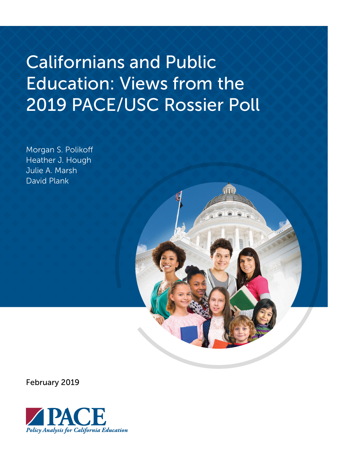# Californians and Public Education: Views from the 2019 PACE/USC Rossier Poll

Morgan S. Polikoff Heather J. Hough Julie A. Marsh David Plank



February 2019

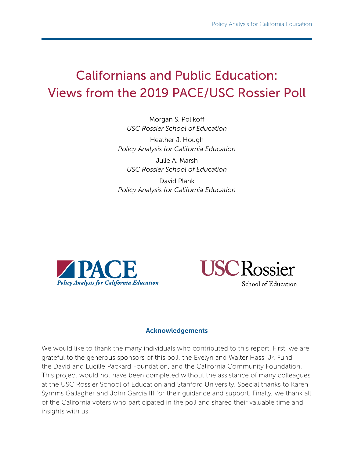## Californians and Public Education: Views from the 2019 PACE/USC Rossier Poll

Morgan S. Polikoff *USC Rossier School of Education*

Heather J. Hough *Policy Analysis for California Education*

Julie A. Marsh *USC Rossier School of Education*

David Plank *Policy Analysis for California Education*





#### Acknowledgements

We would like to thank the many individuals who contributed to this report. First, we are grateful to the generous sponsors of this poll, the Evelyn and Walter Hass, Jr. Fund, the David and Lucille Packard Foundation, and the California Community Foundation. This project would not have been completed without the assistance of many colleagues at the USC Rossier School of Education and Stanford University. Special thanks to Karen Symms Gallagher and John Garcia III for their guidance and support. Finally, we thank all of the California voters who participated in the poll and shared their valuable time and insights with us.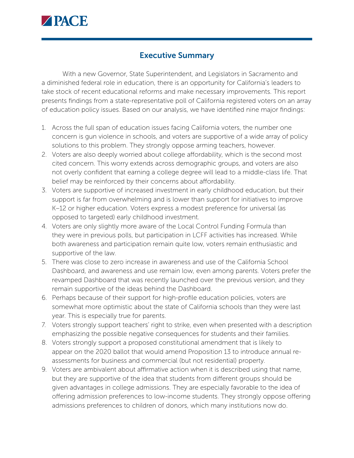

#### Executive Summary

With a new Governor, State Superintendent, and Legislators in Sacramento and a diminished federal role in education, there is an opportunity for California's leaders to take stock of recent educational reforms and make necessary improvements. This report presents findings from a state-representative poll of California registered voters on an array of education policy issues. Based on our analysis, we have identified nine major findings:

- 1. Across the full span of education issues facing California voters, the number one concern is gun violence in schools, and voters are supportive of a wide array of policy solutions to this problem. They strongly oppose arming teachers, however.
- 2. Voters are also deeply worried about college affordability, which is the second most cited concern. This worry extends across demographic groups, and voters are also not overly confident that earning a college degree will lead to a middle-class life. That belief may be reinforced by their concerns about affordability.
- 3. Voters are supportive of increased investment in early childhood education, but their support is far from overwhelming and is lower than support for initiatives to improve K–12 or higher education. Voters express a modest preference for universal (as opposed to targeted) early childhood investment.
- 4. Voters are only slightly more aware of the Local Control Funding Formula than they were in previous polls, but participation in LCFF activities has increased. While both awareness and participation remain quite low, voters remain enthusiastic and supportive of the law.
- 5. There was close to zero increase in awareness and use of the California School Dashboard, and awareness and use remain low, even among parents. Voters prefer the revamped Dashboard that was recently launched over the previous version, and they remain supportive of the ideas behind the Dashboard.
- 6. Perhaps because of their support for high-profile education policies, voters are somewhat more optimistic about the state of California schools than they were last year. This is especially true for parents.
- 7. Voters strongly support teachers' right to strike, even when presented with a description emphasizing the possible negative consequences for students and their families.
- 8. Voters strongly support a proposed constitutional amendment that is likely to appear on the 2020 ballot that would amend Proposition 13 to introduce annual reassessments for business and commercial (but not residential) property.
- 9. Voters are ambivalent about affirmative action when it is described using that name, but they are supportive of the idea that students from different groups should be given advantages in college admissions. They are especially favorable to the idea of offering admission preferences to low-income students. They strongly oppose offering admissions preferences to children of donors, which many institutions now do.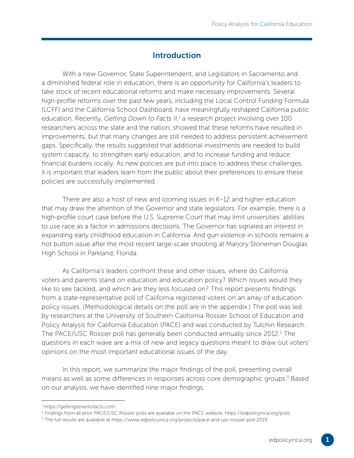#### **Introduction**

With a new Governor, State Superintendent, and Legislators in Sacramento and a diminished federal role in education, there is an opportunity for California's leaders to take stock of recent educational reforms and make necessary improvements. Several high-profile reforms over the past few years, including the Local Control Funding Formula (LCFF) and the California School Dashboard, have meaningfully reshaped California public education. Recently, Getting Down to Facts II,<sup>1</sup> a research project involving over 100 researchers across the state and the nation, showed that these reforms have resulted in improvements, but that many changes are still needed to address persistent achievement gaps. Specifically, the results suggested that additional investments are needed to build system capacity, to strengthen early education, and to increase funding and reduce financial burdens locally. As new policies are put into place to address these challenges, it is important that leaders learn from the public about their preferences to ensure these policies are successfully implemented.

There are also a host of new and looming issues in K–12 and higher education that may draw the attention of the Governor and state legislators. For example, there is a high-profile court case before the U.S. Supreme Court that may limit universities' abilities to use race as a factor in admissions decisions. The Governor has signaled an interest in expanding early childhood education in California. And gun violence in schools remains a hot button issue after the most recent large-scale shooting at Marjory Stoneman Douglas High School in Parkland, Florida.

As California's leaders confront these and other issues, where do California voters and parents stand on education and education policy? Which issues would they like to see tackled, and which are they less focused on? This report presents findings from a state-representative poll of California registered voters on an array of education policy issues. (Methodological details on the poll are in the appendix.) The poll was led by researchers at the University of Southern California Rossier School of Education and Policy Analysis for California Education (PACE) and was conducted by Tulchin Research. The PACE/USC Rossier poll has generally been conducted annually since 2012.<sup>2</sup> The questions in each wave are a mix of new and legacy questions meant to draw out voters' opinions on the most important educational issues of the day.

In this report, we summarize the major findings of the poll, presenting overall means as well as some differences in responses across core demographic groups.<sup>3</sup> Based on our analysis, we have identified nine major findings.

<sup>1</sup> <https://gettingdowntofacts.com>

<sup>2</sup> Findings from all prior PACE/USC Rossier polls are available on the PACE website: <https://edpolicyinca.org/polls>

<sup>3</sup> The full results are available at<https://www.edpolicyinca.org/projects/pace-and-usc-rossier-poll-2019>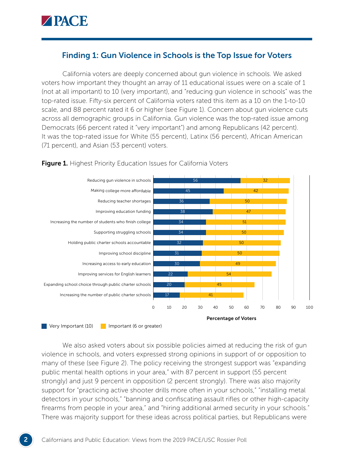

#### Finding 1: Gun Violence in Schools is the Top Issue for Voters

California voters are deeply concerned about gun violence in schools. We asked voters how important they thought an array of 11 educational issues were on a scale of 1 (not at all important) to 10 (very important), and "reducing gun violence in schools" was the top-rated issue. Fifty-six percent of California voters rated this item as a 10 on the 1-to-10 scale, and 88 percent rated it 6 or higher (see Figure 1). Concern about gun violence cuts across all demographic groups in California. Gun violence was the top-rated issue among Democrats (66 percent rated it "very important") and among Republicans (42 percent). It was the top-rated issue for White (55 percent), Latinx (56 percent), African American (71 percent), and Asian (53 percent) voters.



#### **Figure 1.** Highest Priority Education Issues for California Voters

We also asked voters about six possible policies aimed at reducing the risk of gun violence in schools, and voters expressed strong opinions in support of or opposition to many of these (see Figure 2). The policy receiving the strongest support was "expanding public mental health options in your area," with 87 percent in support (55 percent strongly) and just 9 percent in opposition (2 percent strongly). There was also majority support for "practicing active shooter drills more often in your schools," "installing metal detectors in your schools," "banning and confiscating assault rifles or other high-capacity firearms from people in your area," and "hiring additional armed security in your schools." There was majority support for these ideas across political parties, but Republicans were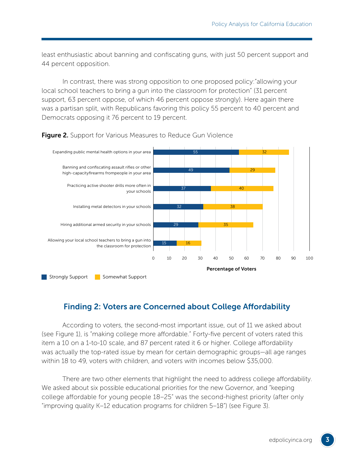least enthusiastic about banning and confiscating guns, with just 50 percent support and 44 percent opposition.

In contrast, there was strong opposition to one proposed policy:"allowing your local school teachers to bring a gun into the classroom for protection" (31 percent support, 63 percent oppose, of which 46 percent oppose strongly). Here again there was a partisan split, with Republicans favoring this policy 55 percent to 40 percent and Democrats opposing it 76 percent to 19 percent.



**Figure 2.** Support for Various Measures to Reduce Gun Violence

## Finding 2: Voters are Concerned about College Affordability

According to voters, the second-most important issue, out of 11 we asked about (see Figure 1), is "making college more affordable." Forty-five percent of voters rated this item a 10 on a 1-to-10 scale, and 87 percent rated it 6 or higher. College affordability was actually the top-rated issue by mean for certain demographic groups—all age ranges within 18 to 49, voters with children, and voters with incomes below \$35,000.

There are two other elements that highlight the need to address college affordability. We asked about six possible educational priorities for the new Governor, and "keeping college affordable for young people 18–25" was the second-highest priority (after only "improving quality K–12 education programs for children 5–18") (see Figure 3).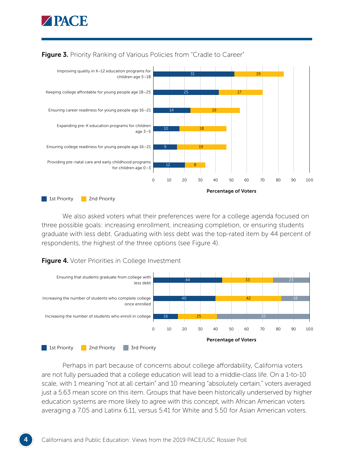



#### **Figure 3.** Priority Ranking of Various Policies from "Cradle to Career"

We also asked voters what their preferences were for a college agenda focused on three possible goals: increasing enrollment, increasing completion, or ensuring students graduate with less debt. Graduating with less debt was the top-rated item by 44 percent of respondents, the highest of the three options (see Figure 4).



**Figure 4.** Voter Priorities in College Investment

Perhaps in part because of concerns about college affordability, California voters are not fully persuaded that a college education will lead to a middle-class life. On a 1-to-10 scale, with 1 meaning "not at all certain" and 10 meaning "absolutely certain," voters averaged just a 5.63 mean score on this item. Groups that have been historically underserved by higher education systems are more likely to agree with this concept, with African American voters averaging a 7.05 and Latinx 6.11, versus 5.41 for White and 5.50 for Asian American voters.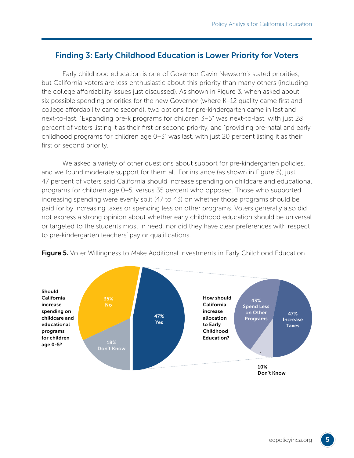## Finding 3: Early Childhood Education is Lower Priority for Voters

Early childhood education is one of Governor Gavin Newsom's stated priorities, but California voters are less enthusiastic about this priority than many others (including the college affordability issues just discussed). As shown in Figure 3, when asked about six possible spending priorities for the new Governor (where K–12 quality came first and college affordability came second), two options for pre-kindergarten came in last and next-to-last. "Expanding pre-k programs for children 3–5" was next-to-last, with just 28 percent of voters listing it as their first or second priority, and "providing pre-natal and early childhood programs for children age 0–3" was last, with just 20 percent listing it as their first or second priority.

We asked a variety of other questions about support for pre-kindergarten policies, and we found moderate support for them all. For instance (as shown in Figure 5), just 47 percent of voters said California should increase spending on childcare and educational programs for children age 0–5, versus 35 percent who opposed. Those who supported increasing spending were evenly split (47 to 43) on whether those programs should be paid for by increasing taxes or spending less on other programs. Voters generally also did not express a strong opinion about whether early childhood education should be universal or targeted to the students most in need, nor did they have clear preferences with respect to pre-kindergarten teachers' pay or qualifications.



**Figure 5.** Voter Willingness to Make Additional Investments in Early Childhood Education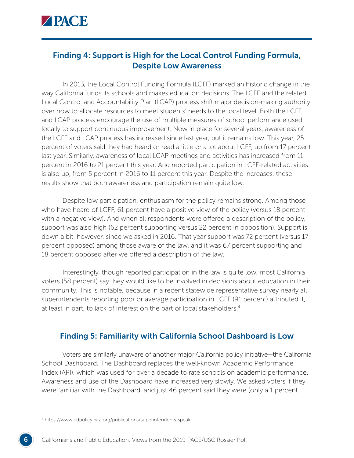

## Finding 4: Support is High for the Local Control Funding Formula, Despite Low Awareness

In 2013, the Local Control Funding Formula (LCFF) marked an historic change in the way California funds its schools and makes education decisions. The LCFF and the related Local Control and Accountability Plan (LCAP) process shift major decision-making authority over how to allocate resources to meet students' needs to the local level. Both the LCFF and LCAP process encourage the use of multiple measures of school performance used locally to support continuous improvement. Now in place for several years, awareness of the LCFF and LCAP process has increased since last year, but it remains low. This year, 25 percent of voters said they had heard or read a little or a lot about LCFF, up from 17 percent last year. Similarly, awareness of local LCAP meetings and activities has increased from 11 percent in 2016 to 21 percent this year. And reported participation in LCFF-related activities is also up, from 5 percent in 2016 to 11 percent this year. Despite the increases, these results show that both awareness and participation remain quite low.

Despite low participation, enthusiasm for the policy remains strong. Among those who have heard of LCFF, 61 percent have a positive view of the policy (versus 18 percent with a negative view). And when all respondents were offered a description of the policy, support was also high (62 percent supporting versus 22 percent in opposition). Support is down a bit, however, since we asked in 2016. That year support was 72 percent (versus 17 percent opposed) among those aware of the law, and it was 67 percent supporting and 18 percent opposed after we offered a description of the law.

Interestingly, though reported participation in the law is quite low, most California voters (58 percent) say they would like to be involved in decisions about education in their community. This is notable, because in a recent statewide representative survey nearly all superintendents reporting poor or average participation in LCFF (91 percent) attributed it, at least in part, to lack of interest on the part of local stakeholders.<sup>4</sup>

#### Finding 5: Familiarity with California School Dashboard is Low

Voters are similarly unaware of another major California policy initiative—the California School Dashboard. The Dashboard replaces the well-known Academic Performance Index (API), which was used for over a decade to rate schools on academic performance. Awareness and use of the Dashboard have increased very slowly. We asked voters if they were familiar with the Dashboard, and just 46 percent said they were (only a 1 percent

<sup>4</sup> https://www.edpolicyinca.org/publications/superintendents-speak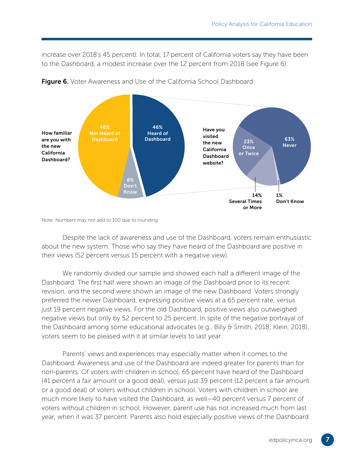increase over 2018's 45 percent). In total, 17 percent of California voters say they have been to the Dashboard, a modest increase over the 12 percent from 2018 (see Figure 6).





Note: Numbers may not add to 100 due to rounding.

Despite the lack of awareness and use of the Dashboard, voters remain enthusiastic about the new system. Those who say they have heard of the Dashboard are positive in their views (52 percent versus 15 percent with a negative view).

We randomly divided our sample and showed each half a different image of the Dashboard. The first half were shown an image of the Dashboard prior to its recent revision, and the second were shown an image of the new Dashboard. Voters strongly preferred the newer Dashboard, expressing positive views at a 65 percent rate, versus just 19 percent negative views. For the old Dashboard, positive views also outweighed negative views but only by 52 percent to 25 percent. In spite of the negative portrayal of the Dashboard among some educational advocates (e.g., Billy & Smith, 2018; Klein, 2018), voters seem to be pleased with it at similar levels to last year.

Parents' views and experiences may especially matter when it comes to the Dashboard. Awareness and use of the Dashboard are indeed greater for parents than for non-parents. Of voters with children in school, 65 percent have heard of the Dashboard (41 percent a fair amount or a good deal), versus just 39 percent (12 percent a fair amount or a good deal) of voters without children in school. Voters with children in school are much more likely to have visited the Dashboard, as well—40 percent versus 7 percent of voters without children in school. However, parent use has not increased much from last year, when it was 37 percent. Parents also hold especially positive views of the Dashboard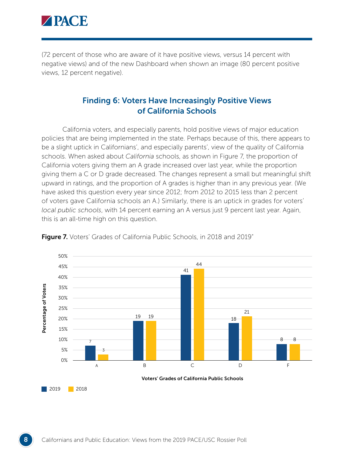

(72 percent of those who are aware of it have positive views, versus 14 percent with negative views) and of the new Dashboard when shown an image (80 percent positive views, 12 percent negative).

#### Finding 6: Voters Have Increasingly Positive Views of California Schools

California voters, and especially parents, hold positive views of major education policies that are being implemented in the state. Perhaps because of this, there appears to be a slight uptick in Californians', and especially parents', view of the quality of California schools. When asked about *California* schools, as shown in Figure 7, the proportion of California voters giving them an A grade increased over last year, while the proportion giving them a C or D grade decreased. The changes represent a small but meaningful shift upward in ratings, and the proportion of A grades is higher than in any previous year. (We have asked this question every year since 2012; from 2012 to 2015 less than 2 percent of voters gave California schools an A.) Similarly, there is an uptick in grades for voters' *local public schools*, with 14 percent earning an A versus just 9 percent last year. Again, this is an all-time high on this question.



Figure 7. Voters' Grades of California Public Schools, in 2018 and 2019"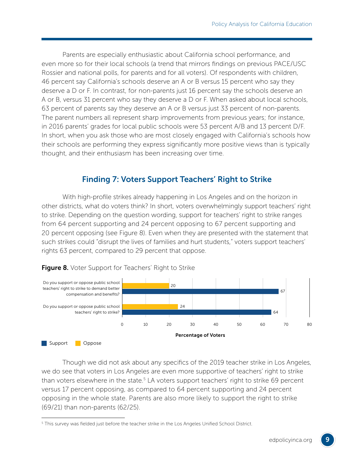Parents are especially enthusiastic about California school performance, and even more so for their local schools (a trend that mirrors findings on previous PACE/USC Rossier and national polls, for parents and for all voters). Of respondents with children, 46 percent say California's schools deserve an A or B versus 15 percent who say they deserve a D or F. In contrast, for non-parents just 16 percent say the schools deserve an A or B, versus 31 percent who say they deserve a D or F. When asked about local schools, 63 percent of parents say they deserve an A or B versus just 33 percent of non-parents. The parent numbers all represent sharp improvements from previous years; for instance, in 2016 parents' grades for local public schools were 53 percent A/B and 13 percent D/F. In short, when you ask those who are most closely engaged with California's schools how their schools are performing they express significantly more positive views than is typically thought, and their enthusiasm has been increasing over time.

## Finding 7: Voters Support Teachers' Right to Strike

With high-profile strikes already happening in Los Angeles and on the horizon in other districts, what do voters think? In short, voters overwhelmingly support teachers' right to strike. Depending on the question wording, support for teachers' right to strike ranges from 64 percent supporting and 24 percent opposing to 67 percent supporting and 20 percent opposing (see Figure 8). Even when they are presented with the statement that such strikes could "disrupt the lives of families and hurt students," voters support teachers' rights 63 percent, compared to 29 percent that oppose.



Figure 8. Voter Support for Teachers' Right to Strike

Though we did not ask about any specifics of the 2019 teacher strike in Los Angeles, we do see that voters in Los Angeles are even more supportive of teachers' right to strike than voters elsewhere in the state.<sup>5</sup> LA voters support teachers' right to strike 69 percent versus 17 percent opposing, as compared to 64 percent supporting and 24 percent opposing in the whole state. Parents are also more likely to support the right to strike (69/21) than non-parents (62/25).

 $^{\rm 5}$  This survey was fielded just before the teacher strike in the Los Angeles Unified School District.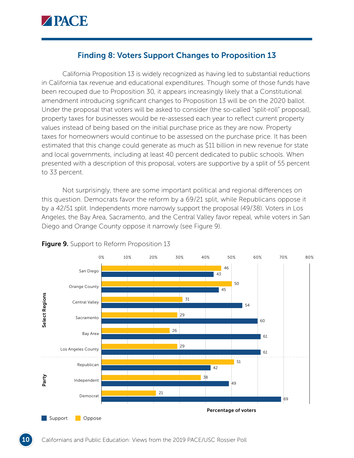

#### Finding 8: Voters Support Changes to Proposition 13

California Proposition 13 is widely recognized as having led to substantial reductions in California tax revenue and educational expenditures. Though some of those funds have been recouped due to Proposition 30, it appears increasingly likely that a Constitutional amendment introducing significant changes to Proposition 13 will be on the 2020 ballot. Under the proposal that voters will be asked to consider (the so-called "split-roll" proposal), property taxes for businesses would be re-assessed each year to reflect current property values instead of being based on the initial purchase price as they are now. Property taxes for homeowners would continue to be assessed on the purchase price. It has been estimated that this change could generate as much as \$11 billion in new revenue for state and local governments, including at least 40 percent dedicated to public schools. When presented with a description of this proposal, voters are supportive by a split of 55 percent to 33 percent.

Not surprisingly, there are some important political and regional differences on this question. Democrats favor the reform by a 69/21 split, while Republicans oppose it by a 42/51 split. Independents more narrowly support the proposal (49/38). Voters in Los Angeles, the Bay Area, Sacramento, and the Central Valley favor repeal, while voters in San Diego and Orange County oppose it narrowly (see Figure 9).



#### **Figure 9.** Support to Reform Proposition 13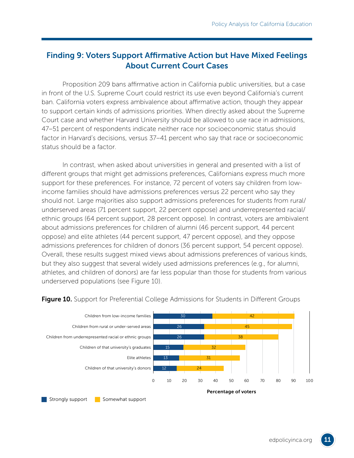## Finding 9: Voters Support Affirmative Action but Have Mixed Feelings About Current Court Cases

Proposition 209 bans affirmative action in California public universities, but a case in front of the U.S. Supreme Court could restrict its use even beyond California's current ban. California voters express ambivalence about affirmative action, though they appear to support certain kinds of admissions priorities. When directly asked about the Supreme Court case and whether Harvard University should be allowed to use race in admissions, 47–51 percent of respondents indicate neither race nor socioeconomic status should factor in Harvard's decisions, versus 37–41 percent who say that race or socioeconomic status should be a factor.

In contrast, when asked about universities in general and presented with a list of different groups that might get admissions preferences, Californians express much more support for these preferences. For instance, 72 percent of voters say children from lowincome families should have admissions preferences versus 22 percent who say they should not. Large majorities also support admissions preferences for students from rural/ underserved areas (71 percent support, 22 percent oppose) and underrepresented racial/ ethnic groups (64 percent support, 28 percent oppose). In contrast, voters are ambivalent about admissions preferences for children of alumni (46 percent support, 44 percent oppose) and elite athletes (44 percent support, 47 percent oppose), and they oppose admissions preferences for children of donors (36 percent support, 54 percent oppose). Overall, these results suggest mixed views about admissions preferences of various kinds, but they also suggest that several widely used admissions preferences (e.g., for alumni, athletes, and children of donors) are far less popular than those for students from various underserved populations (see Figure 10).



**Figure 10.** Support for Preferential College Admissions for Students in Different Groups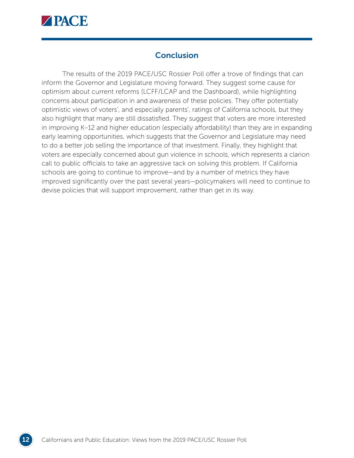

## **Conclusion**

The results of the 2019 PACE/USC Rossier Poll offer a trove of findings that can inform the Governor and Legislature moving forward. They suggest some cause for optimism about current reforms (LCFF/LCAP and the Dashboard), while highlighting concerns about participation in and awareness of these policies. They offer potentially optimistic views of voters', and especially parents', ratings of California schools, but they also highlight that many are still dissatisfied. They suggest that voters are more interested in improving K–12 and higher education (especially affordability) than they are in expanding early learning opportunities, which suggests that the Governor and Legislature may need to do a better job selling the importance of that investment. Finally, they highlight that voters are especially concerned about gun violence in schools, which represents a clarion call to public officials to take an aggressive tack on solving this problem. If California schools are going to continue to improve—and by a number of metrics they have improved significantly over the past several years—policymakers will need to continue to devise policies that will support improvement, rather than get in its way.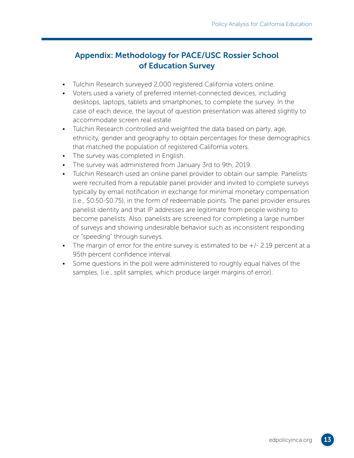## Appendix: Methodology for PACE/USC Rossier School of Education Survey

- Tulchin Research surveyed 2,000 registered California voters online.
- Voters used a variety of preferred internet-connected devices, including desktops, laptops, tablets and smartphones, to complete the survey. In the case of each device, the layout of question presentation was altered slightly to accommodate screen real estate.
- Tulchin Research controlled and weighted the data based on party, age, ethnicity, gender and geography to obtain percentages for these demographics that matched the population of registered California voters.
- The survey was completed in English.
- The survey was administered from January 3rd to 9th, 2019.
- Tulchin Research used an online panel provider to obtain our sample. Panelists were recruited from a reputable panel provider and invited to complete surveys typically by email notification in exchange for minimal monetary compensation (i.e., \$0.50-\$0.75), in the form of redeemable points. The panel provider ensures panelist identity and that IP addresses are legitimate from people wishing to become panelists. Also, panelists are screened for completing a large number of surveys and showing undesirable behavior such as inconsistent responding or "speeding" through surveys.
- The margin of error for the entire survey is estimated to be  $+/-$  2.19 percent at a 95th percent confidence interval.
- Some questions in the poll were administered to roughly equal halves of the samples, (i.e., split samples, which produce larger margins of error).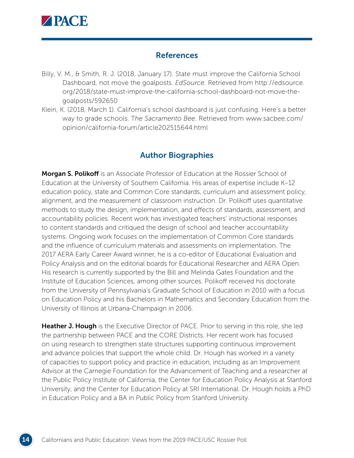

#### **References**

- Billy, V. M., & Smith, R. J. (2018, January 17). State must improve the California School Dashboard, not move the goalposts. *EdSource*. Retrieved from [http://edsource.](http://edsource.org/2018/state-must-improve-the-california-school-dashboard-not-move-the-goalposts/592650) [org/2018/state-must-improve-the-california-school-dashboard-not-move-the](http://edsource.org/2018/state-must-improve-the-california-school-dashboard-not-move-the-goalposts/592650)[goalposts/592650](http://edsource.org/2018/state-must-improve-the-california-school-dashboard-not-move-the-goalposts/592650)
- Klein, K. (2018, March 1). California's school dashboard is just confusing. Here's a better way to grade schools. T*he Sacramento Bee*. Retrieved from [www.sacbee.com/](http://www.sacbee.com/opinion/california-forum/article202515644.html) [opinion/california-forum/article202515644.html](http://www.sacbee.com/opinion/california-forum/article202515644.html)

## Author Biographies

**Morgan S. Polikoff** is an Associate Professor of Education at the Rossier School of Education at the University of Southern California. His areas of expertise include K–12 education policy, state and Common Core standards, curriculum and assessment policy, alignment, and the measurement of classroom instruction. Dr. Polikoff uses quantitative methods to study the design, implementation, and effects of standards, assessment, and accountability policies. Recent work has investigated teachers' instructional responses to content standards and critiqued the design of school and teacher accountability systems. Ongoing work focuses on the implementation of Common Core standards and the influence of curriculum materials and assessments on implementation. The 2017 AERA Early Career Award winner, he is a co-editor of Educational Evaluation and Policy Analysis and on the editorial boards for Educational Researcher and AERA Open. His research is currently supported by the Bill and Melinda Gates Foundation and the Institute of Education Sciences, among other sources. Polikoff received his doctorate from the University of Pennsylvania's Graduate School of Education in 2010 with a focus on Education Policy and his Bachelors in Mathematics and Secondary Education from the University of Illinois at Urbana-Champaign in 2006.

**Heather J. Hough** is the Executive Director of PACE. Prior to serving in this role, she led the partnership between PACE and the CORE Districts. Her recent work has focused on using research to strengthen state structures supporting continuous improvement and advance policies that support the whole child. Dr. Hough has worked in a variety of capacities to support policy and practice in education, including as an Improvement Advisor at the Carnegie Foundation for the Advancement of Teaching and a researcher at the Public Policy Institute of California, the Center for Education Policy Analysis at Stanford University, and the Center for Education Policy at SRI International. Dr. Hough holds a PhD in Education Policy and a BA in Public Policy from Stanford University.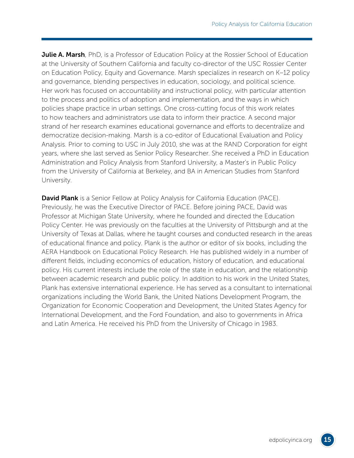**Julie A. Marsh**, PhD, is a Professor of Education Policy at the Rossier School of Education at the University of Southern California and faculty co-director of the USC Rossier Center on Education Policy, Equity and Governance. Marsh specializes in research on K–12 policy and governance, blending perspectives in education, sociology, and political science. Her work has focused on accountability and instructional policy, with particular attention to the process and politics of adoption and implementation, and the ways in which policies shape practice in urban settings. One cross-cutting focus of this work relates to how teachers and administrators use data to inform their practice. A second major strand of her research examines educational governance and efforts to decentralize and democratize decision-making. Marsh is a co-editor of Educational Evaluation and Policy Analysis. Prior to coming to USC in July 2010, she was at the RAND Corporation for eight years, where she last served as Senior Policy Researcher. She received a PhD in Education Administration and Policy Analysis from Stanford University, a Master's in Public Policy from the University of California at Berkeley, and BA in American Studies from Stanford University.

David Plank is a Senior Fellow at Policy Analysis for California Education (PACE). Previously, he was the Executive Director of PACE. Before joining PACE, David was Professor at Michigan State University, where he founded and directed the Education Policy Center. He was previously on the faculties at the University of Pittsburgh and at the University of Texas at Dallas, where he taught courses and conducted research in the areas of educational finance and policy. Plank is the author or editor of six books, including the AERA Handbook on Educational Policy Research. He has published widely in a number of different fields, including economics of education, history of education, and educational policy. His current interests include the role of the state in education, and the relationship between academic research and public policy. In addition to his work in the United States, Plank has extensive international experience. He has served as a consultant to international organizations including the World Bank, the United Nations Development Program, the Organization for Economic Cooperation and Development, the United States Agency for International Development, and the Ford Foundation, and also to governments in Africa and Latin America. He received his PhD from the University of Chicago in 1983.